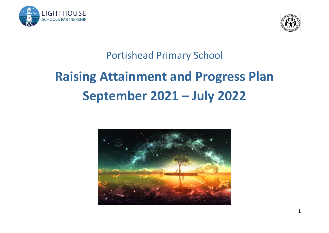



# Portishead Primary School

# **Raising Attainment and Progress Plan September 2021 – July 2022**

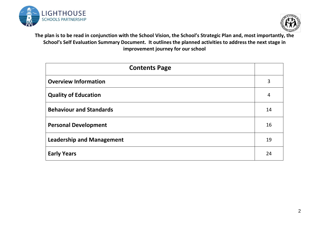



**The plan is to be read in conjunction with the School Vision, the School's Strategic Plan and, most importantly, the School's Self Evaluation Summary Document. It outlines the planned activities to address the next stage in improvement journey for our school**

| <b>Contents Page</b>             |                |  |  |  |
|----------------------------------|----------------|--|--|--|
| <b>Overview Information</b>      | 3              |  |  |  |
| <b>Quality of Education</b>      | $\overline{4}$ |  |  |  |
| <b>Behaviour and Standards</b>   | 14             |  |  |  |
| <b>Personal Development</b>      | 16             |  |  |  |
| <b>Leadership and Management</b> | 19             |  |  |  |
| <b>Early Years</b>               | 24             |  |  |  |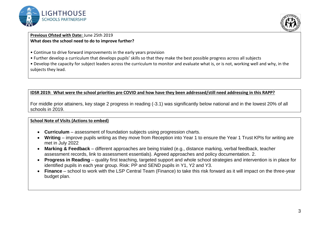



#### **Previous Ofsted with Date:** June 25th 2019 **What does the school need to do to improve further?**

- Continue to drive forward improvements in the early years provision
- Further develop a curriculum that develops pupils' skills so that they make the best possible progress across all subjects

• Develop the capacity for subject leaders across the curriculum to monitor and evaluate what is, or is not, working well and why, in the subjects they lead.

#### **IDSR 2019: What were the school priorities pre COVID and how have they been addressed/still need addressing in this RAPP?**

For middle prior attainers, key stage 2 progress in reading (-3.1) was significantly below national and in the lowest 20% of all schools in 2019.

#### **School Note of Visits (Actions to embed)**

- **Curriculum** assessment of foundation subjects using progression charts.
- **Writing**  improve pupils writing as they move from Reception into Year 1 to ensure the Year 1 Trust KPIs for writing are met in July 2022
- **Marking & Feedback** different approaches are being trialed (e.g., distance marking, verbal feedback, teacher assessment records, link to assessment essentials). Agreed approaches and policy documentation. 2.
- **Progress in Reading** quality first teaching, targeted support and whole school strategies and intervention is in place for identified pupils in each year group. Risk: PP and SEND pupils in Y1, Y2 and Y3.
- **Finance** school to work with the LSP Central Team (Finance) to take this risk forward as it will impact on the three-year budget plan.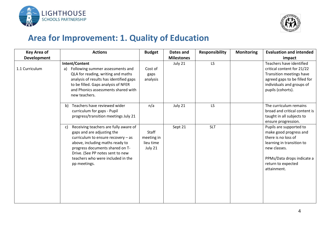



### **Area for Improvement: 1. Quality of Education**

| <b>Key Area of</b> | <b>Actions</b>                                                                                                                                                                                                                                                                   | <b>Budget</b>                               | Dates and         | <b>Responsibility</b> | <b>Monitoring</b> | <b>Evaluation and intended</b>                                                                                                                                                           |
|--------------------|----------------------------------------------------------------------------------------------------------------------------------------------------------------------------------------------------------------------------------------------------------------------------------|---------------------------------------------|-------------------|-----------------------|-------------------|------------------------------------------------------------------------------------------------------------------------------------------------------------------------------------------|
| <b>Development</b> |                                                                                                                                                                                                                                                                                  |                                             | <b>Milestones</b> |                       |                   | impact                                                                                                                                                                                   |
| 1.1 Curriculum     | Intent/Content<br>Following summer assessments and<br>a)<br>QLA for reading, writing and maths<br>analysis of results has identified gaps<br>to be filled. Gaps analysis of NFER<br>and Phonics assessments shared with<br>new teachers.                                         | Cost of<br>gaps<br>analysis                 | July 21           | LS                    |                   | Teachers have identified<br>critical content for 21/22<br>Transition meetings have<br>agreed gaps to be filled for<br>individuals and groups of<br>pupils (cohorts).                     |
|                    | b) Teachers have reviewed wider<br>curriculum for gaps - Pupil<br>progress/transition meetings July 21                                                                                                                                                                           | n/a                                         | July 21           | <b>LS</b>             |                   | The curriculum remains<br>broad and critical content is<br>taught in all subjects to<br>ensure progression.                                                                              |
|                    | Receiving teachers are fully aware of<br>C)<br>gaps and are adjusting the<br>curriculum to ensure recovery $-$ as<br>above, including maths ready to<br>progress documents shared on T-<br>Drive. (See PP notes sent to new<br>teachers who were included in the<br>pp meetings. | Staff<br>meeting in<br>lieu time<br>July 21 | Sept 21           | <b>SLT</b>            |                   | Pupils are supported to<br>make good progress and<br>there is no loss of<br>learning in transition to<br>new classes.<br>PPMs/Data drops indicate a<br>return to expected<br>attainment. |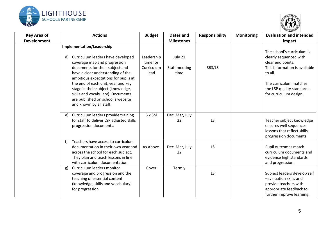



| <b>Key Area of</b> | <b>Actions</b>                                                                                                                                                                                                                                                                                                                                                                                        | <b>Budget</b>                                | Dates and                        | <b>Responsibility</b> | <b>Monitoring</b> | <b>Evaluation and intended</b>                                                                                                                                                                         |
|--------------------|-------------------------------------------------------------------------------------------------------------------------------------------------------------------------------------------------------------------------------------------------------------------------------------------------------------------------------------------------------------------------------------------------------|----------------------------------------------|----------------------------------|-----------------------|-------------------|--------------------------------------------------------------------------------------------------------------------------------------------------------------------------------------------------------|
| <b>Development</b> |                                                                                                                                                                                                                                                                                                                                                                                                       |                                              | <b>Milestones</b>                |                       |                   | impact                                                                                                                                                                                                 |
|                    | Implementation/Leadership<br>Curriculum leaders have developed<br>d)<br>coverage map and progression<br>documents for their subject and<br>have a clear understanding of the<br>ambitious expectations for pupils at<br>the end of each unit, year and key<br>stage in their subject (knowledge,<br>skills and vocabulary). Documents<br>are published on school's website<br>and known by all staff. | Leadership<br>time for<br>Curriculum<br>lead | July 21<br>Staff meeting<br>time | SBS/LS                |                   | The school's curriculum is<br>clearly sequenced with<br>clear end points.<br>This information is available<br>to all.<br>The curriculum matches<br>the LSP quality standards<br>for curriculum design. |
|                    | Curriculum leaders provide training<br>e)<br>for staff to deliver LSP adjusted skills<br>progression documents.                                                                                                                                                                                                                                                                                       | 6 x SM                                       | Dec, Mar, July<br>22             | LS                    |                   | Teacher subject knowledge<br>ensures well sequences<br>lessons that reflect skills<br>progression documents.                                                                                           |
|                    | Teachers have access to curriculum<br>f<br>documentation in their own year and<br>across the school for each subject.<br>They plan and teach lessons in line<br>with curriculum documentation.                                                                                                                                                                                                        | As Above.                                    | Dec, Mar, July<br>22             | <b>LS</b>             |                   | Pupil outcomes match<br>curriculum documents and<br>evidence high standards<br>and progression.                                                                                                        |
|                    | Curriculum leaders monitor<br>g)<br>coverage and progression and the<br>teaching of essential content<br>(knowledge, skills and vocabulary)<br>for progression.                                                                                                                                                                                                                                       | Cover                                        | Termly                           | LS                    |                   | Subject leaders develop self<br>-evaluation skills and<br>provide teachers with<br>appropriate feedback to<br>further improve learning.                                                                |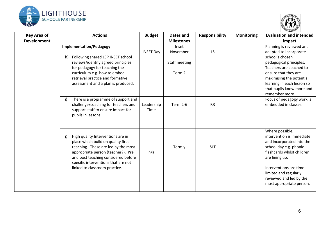



| <b>Key Area of</b> | <b>Actions</b>                                                                                                                                                                                                                                                            | <b>Budget</b>      | Dates and                                    | <b>Responsibility</b> | <b>Monitoring</b> | <b>Evaluation and intended</b>                                                                                                                                                                                                                                |
|--------------------|---------------------------------------------------------------------------------------------------------------------------------------------------------------------------------------------------------------------------------------------------------------------------|--------------------|----------------------------------------------|-----------------------|-------------------|---------------------------------------------------------------------------------------------------------------------------------------------------------------------------------------------------------------------------------------------------------------|
| <b>Development</b> |                                                                                                                                                                                                                                                                           |                    | <b>Milestones</b>                            |                       |                   | impact                                                                                                                                                                                                                                                        |
|                    | <b>Implementation/Pedagogy</b><br>Following shared LSP INSET school<br>h)<br>reviews/identify agreed principles<br>for pedagogy for teaching the<br>curriculum e.g. how to embed<br>retrieval practice and formative<br>assessment and a plan is produced.                | <b>INSET Day</b>   | Inset<br>November<br>Staff meeting<br>Term 2 | <b>LS</b>             |                   | Planning is reviewed and<br>adapted to incorporate<br>school's chosen<br>pedagogical principles.<br>Teachers are coached to<br>ensure that they are<br>maximising the potential<br>learning in each lesson so<br>that pupils know more and<br>remember more.  |
|                    | There is a programme of support and<br>i)<br>challenge/coaching for teachers and<br>support staff to ensure impact for<br>pupils in lessons.                                                                                                                              | Leadership<br>Time | <b>Term 2-6</b>                              | <b>RR</b>             |                   | Focus of pedagogy work is<br>embedded in classes.                                                                                                                                                                                                             |
|                    | High quality Interventions are in<br>j)<br>place which build on quality first<br>teaching. These are led by the most<br>appropriate person (teacher?). Pre<br>and post teaching considered before<br>specific interventions that are not<br>linked to classroom practice. | n/a                | Termly                                       | <b>SLT</b>            |                   | Where possible,<br>intervention is immediate<br>and incorporated into the<br>school day e.g. phonic<br>flashcards whilst children<br>are lining up.<br>Interventions are time<br>limited and regularly<br>reviewed and led by the<br>most appropriate person. |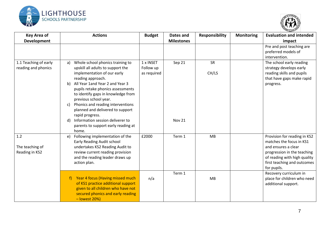



| <b>Key Area of</b><br><b>Development</b>     | <b>Actions</b>                                                                                                                                                                                                                                                                                                                                                                 | <b>Budget</b>                         | Dates and<br><b>Milestones</b> | <b>Responsibility</b> | <b>Monitoring</b> | <b>Evaluation and intended</b><br>impact                                                                                                                                                     |
|----------------------------------------------|--------------------------------------------------------------------------------------------------------------------------------------------------------------------------------------------------------------------------------------------------------------------------------------------------------------------------------------------------------------------------------|---------------------------------------|--------------------------------|-----------------------|-------------------|----------------------------------------------------------------------------------------------------------------------------------------------------------------------------------------------|
|                                              |                                                                                                                                                                                                                                                                                                                                                                                |                                       |                                |                       |                   | Pre and post teaching are<br>preferred models of<br>intervention.                                                                                                                            |
| 1.1 Teaching of early<br>reading and phonics | Whole school phonics training to<br>a)<br>upskill all adults to support the<br>implementation of our early<br>reading approach.<br>All Year 1and Year 2 and Year 3<br>b)<br>pupils retake phonics assessments<br>to identify gaps in knowledge from<br>previous school year.<br>Phonics and reading interventions<br>c)<br>planned and delivered to support<br>rapid progress. | 1 x INSET<br>Follow up<br>as required | Sep 21                         | SR<br>CH/LS           |                   | The school early reading<br>strategy develops early<br>reading skills and pupils<br>that have gaps make rapid<br>progress.                                                                   |
|                                              | Information session deliverer to<br>d)<br>parents to support early reading at<br>home.                                                                                                                                                                                                                                                                                         |                                       | Nov 21                         |                       |                   |                                                                                                                                                                                              |
| 1.2<br>The teaching of<br>Reading in KS2     | Following implementation of the<br>e)<br>Early Reading Audit school<br>undertakes KS2 Reading Audit to<br>review current reading provision<br>and the reading leader draws up<br>action plan.                                                                                                                                                                                  | £2000                                 | Term 1                         | MB                    |                   | Provision for reading in KS2<br>matches the focus in KS1<br>and ensures a clear<br>progression in the teaching<br>of reading with high quality<br>first teaching and outcomes<br>for pupils. |
|                                              | Year 4 focus (Having missed much<br>f)<br>of KS1 practice additional support<br>given to all children who have not<br>secured phonics and early reading<br>$-$ lowest 20%)                                                                                                                                                                                                     | n/a                                   | Term 1                         | MB                    |                   | Recovery curriculum in<br>place for children who need<br>additional support.                                                                                                                 |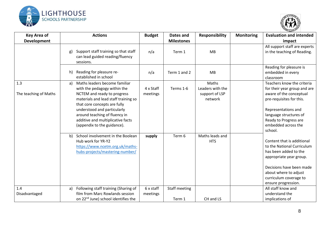



| <b>Key Area of</b><br><b>Development</b> | <b>Actions</b>                                                                                                                                                                                                                                                                                                 | <b>Budget</b>         | Dates and<br><b>Milestones</b> | <b>Responsibility</b>                                  | <b>Monitoring</b> | <b>Evaluation and intended</b><br>impact                                                                                                                                                                                      |
|------------------------------------------|----------------------------------------------------------------------------------------------------------------------------------------------------------------------------------------------------------------------------------------------------------------------------------------------------------------|-----------------------|--------------------------------|--------------------------------------------------------|-------------------|-------------------------------------------------------------------------------------------------------------------------------------------------------------------------------------------------------------------------------|
|                                          | Support staff training so that staff<br>g)<br>can lead guided reading/fluency<br>sessions.                                                                                                                                                                                                                     | n/a                   | Term 1                         | MB                                                     |                   | All support staff are experts<br>in the teaching of Reading.                                                                                                                                                                  |
|                                          | Reading for pleasure re-<br>h)<br>established in school                                                                                                                                                                                                                                                        | n/a                   | Term 1 and 2                   | <b>MB</b>                                              |                   | Reading for pleasure is<br>embedded in every<br>classroom                                                                                                                                                                     |
| 1.3<br>The teaching of Maths             | Maths leaders become familiar<br>a)<br>with the pedagogy within the<br>NCTEM and ready to progress<br>materials and lead staff training so<br>that core concepts are fully<br>understood and particularly<br>around teaching of fluency in<br>additive and multiplicative facts<br>(appendix to the guidance). | 4 x Staff<br>meetings | Terms 1-6                      | Maths<br>Leaders with the<br>support of LSP<br>network |                   | Teachers know the criteria<br>for their year group and are<br>aware of the conceptual<br>pre-requisites for this.<br>Representations and<br>language structures of<br>Ready to Progress are<br>embedded across the<br>school. |
|                                          | School involvement in the Boolean<br>b)<br>Hub work for YR-Y2<br>https://www.ncetm.org.uk/maths-<br>hubs-projects/mastering-number/                                                                                                                                                                            | supply                | Term 6                         | Maths leads and<br><b>HTS</b>                          |                   | Content that is additional<br>to the National Curriculum<br>has been added to the<br>appropriate year group.<br>Decisions have been made<br>about where to adjust<br>curriculum coverage to<br>ensure progression.            |
| 1.4<br>Disadvantaged                     | Following staff training (Sharing of<br>a)<br>film from Marc Rowlands session<br>on 22 <sup>nd</sup> June) school identifies the                                                                                                                                                                               | 6 x staff<br>meetings | <b>Staff meeting</b><br>Term 1 | CH and LS                                              |                   | All staff know and<br>understand the<br>implications of                                                                                                                                                                       |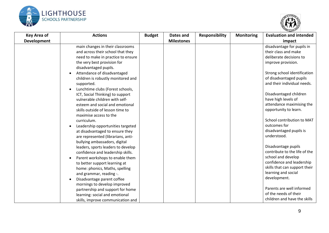



| <b>Key Area of</b> | <b>Actions</b>                                                                                                                                                                                                                                                                                                                                                                                                                                                                                                                                                                                                                                                                                                                                                                                                                                                                                                                                                                  | <b>Budget</b> | Dates and         | <b>Responsibility</b> | <b>Monitoring</b> | <b>Evaluation and intended</b>                                                                                                                                                                                                                                                                                                                                                                                                                                                                                                                                                                                                        |
|--------------------|---------------------------------------------------------------------------------------------------------------------------------------------------------------------------------------------------------------------------------------------------------------------------------------------------------------------------------------------------------------------------------------------------------------------------------------------------------------------------------------------------------------------------------------------------------------------------------------------------------------------------------------------------------------------------------------------------------------------------------------------------------------------------------------------------------------------------------------------------------------------------------------------------------------------------------------------------------------------------------|---------------|-------------------|-----------------------|-------------------|---------------------------------------------------------------------------------------------------------------------------------------------------------------------------------------------------------------------------------------------------------------------------------------------------------------------------------------------------------------------------------------------------------------------------------------------------------------------------------------------------------------------------------------------------------------------------------------------------------------------------------------|
| <b>Development</b> |                                                                                                                                                                                                                                                                                                                                                                                                                                                                                                                                                                                                                                                                                                                                                                                                                                                                                                                                                                                 |               | <b>Milestones</b> |                       |                   | impact                                                                                                                                                                                                                                                                                                                                                                                                                                                                                                                                                                                                                                |
|                    | main changes in their classrooms<br>and across their school that they<br>need to make in practice to ensure<br>the very best provision for<br>disadvantaged pupils.<br>Attendance of disadvantaged<br>children is robustly monitored and<br>supported.<br>Lunchtime clubs (Forest schools,<br>ICT, Social Thinking) to support<br>vulnerable children with self-<br>esteem and social and emotional<br>skills outside of lesson time to<br>maximise access to the<br>curriculum.<br>Leadership opportunities targeted<br>at disadvantaged to ensure they<br>are represented (librarians, anti-<br>bullying ambassadors, digital<br>leaders, sports leaders to develop<br>confidence and leadership skills.<br>Parent workshops to enable them<br>to better support learning at<br>home: phonics, Maths, spelling<br>and grammar, reading -.<br>Disadvantage parent coffee<br>mornings to develop improved<br>partnership and support for home<br>learning: social and emotional |               |                   |                       |                   | disadvantage for pupils in<br>their class and make<br>deliberate decisions to<br>improve provision.<br>Strong school identification<br>of disadvantaged pupils<br>and their individual needs.<br>Disadvantaged children<br>have high levels of<br>attendance maximising the<br>opportunity to learn.<br>School contribution to MAT<br>outcomes for<br>disadvantaged pupils is<br>understood.<br>Disadvantage pupils<br>contribute to the life of the<br>school and develop<br>confidence and leadership<br>skills that can support their<br>learning and social<br>development.<br>Parents are well informed<br>of the needs of their |
|                    | skills, improve communication and                                                                                                                                                                                                                                                                                                                                                                                                                                                                                                                                                                                                                                                                                                                                                                                                                                                                                                                                               |               |                   |                       |                   | children and have the skills                                                                                                                                                                                                                                                                                                                                                                                                                                                                                                                                                                                                          |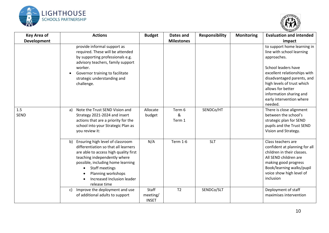



| <b>Key Area of</b> |    | <b>Actions</b>                                                                                                                                                                                                                                                                      | <b>Budget</b>                     | Dates and             | <b>Responsibility</b> | <b>Monitoring</b> | <b>Evaluation and intended</b>                                                                                                                                                                                                                                                    |
|--------------------|----|-------------------------------------------------------------------------------------------------------------------------------------------------------------------------------------------------------------------------------------------------------------------------------------|-----------------------------------|-----------------------|-----------------------|-------------------|-----------------------------------------------------------------------------------------------------------------------------------------------------------------------------------------------------------------------------------------------------------------------------------|
| <b>Development</b> |    |                                                                                                                                                                                                                                                                                     |                                   | <b>Milestones</b>     |                       |                   | impact                                                                                                                                                                                                                                                                            |
|                    |    | provide informal support as<br>required. These will be attended<br>by supporting professionals e.g.<br>advisory teachers, family support<br>worker.<br>Governor training to facilitate<br>strategic understanding and<br>challenge.                                                 |                                   |                       |                       |                   | to support home learning in<br>line with school learning<br>approaches.<br>School leaders have<br>excellent relationships with<br>disadvantaged parents, and<br>high levels of trust which<br>allows for better<br>information sharing and<br>early intervention where<br>needed. |
| 1.5<br><b>SEND</b> | a) | Note the Trust SEND Vision and<br>Strategy 2021-2024 and insert<br>actions that are a priority for the<br>school into your Strategic Plan as<br>you review it:                                                                                                                      | Allocate<br>budget                | Term 6<br>&<br>Term 1 | SENDCo/HT             |                   | There is close alignment<br>between the school's<br>strategic plan for SEND<br>pupils and the Trust SEND<br>Vision and Strategy.                                                                                                                                                  |
|                    | b) | Ensuring high level of classroom<br>differentiation so that all learners<br>are able to access high quality first<br>teaching independently where<br>possible, including home learning<br><b>Staff meetings</b><br>Planning workshops<br>Increased Inclusion leader<br>release time | N/A                               | <b>Term 1-6</b>       | <b>SLT</b>            |                   | Class teachers are<br>confident at planning for all<br>children in their classes.<br>All SEND children are<br>making good progress<br>Book/learning walks/pupil<br>voice show high level of<br>inclusion                                                                          |
|                    | C) | Improve the deployment and use<br>of additional adults to support                                                                                                                                                                                                                   | Staff<br>meeting/<br><b>INSET</b> | T <sub>2</sub>        | SENDCo/SLT            |                   | Deployment of staff<br>maximises intervention                                                                                                                                                                                                                                     |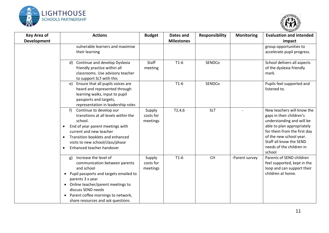



| <b>Key Area of</b><br><b>Development</b> | <b>Actions</b>                                                                                                                                                                                                                                                                     | <b>Budget</b>                   | Dates and<br><b>Milestones</b> | <b>Responsibility</b> | <b>Monitoring</b> | <b>Evaluation and intended</b><br>impact                                                                                                                                                                                                     |
|------------------------------------------|------------------------------------------------------------------------------------------------------------------------------------------------------------------------------------------------------------------------------------------------------------------------------------|---------------------------------|--------------------------------|-----------------------|-------------------|----------------------------------------------------------------------------------------------------------------------------------------------------------------------------------------------------------------------------------------------|
|                                          | vulnerable learners and maximise<br>their learning                                                                                                                                                                                                                                 |                                 |                                |                       |                   | group opportunities to<br>accelerate pupil progress.                                                                                                                                                                                         |
|                                          | Continue and develop Dyslexia<br>d)<br>friendly practice within all<br>classrooms. Use advisory teacher<br>to support SLT with this                                                                                                                                                | Staff<br>meeting                | $T1-6$                         | SENDCo                |                   | School delivers all aspects<br>of the dyslexia friendly<br>mark.                                                                                                                                                                             |
|                                          | Ensure that all pupils voices are<br>e)<br>heard and represented through<br>learning walks, input to pupil<br>passports and targets,<br>representation in leadership roles                                                                                                         |                                 | $T1-6$                         | SENDCo                |                   | Pupils feel supported and<br>listened to.                                                                                                                                                                                                    |
|                                          | Continue to develop our<br>f<br>transitions at all levels within the<br>school.<br>End of year parent meetings with<br>current and new teacher<br>Transition booklets and enhanced<br>$\bullet$<br>visits to new school/class/phase<br>Enhanced teacher handover<br>$\bullet$      | Supply<br>costs for<br>meetings | T2,4,6                         | <b>SLT</b>            |                   | New teachers will know the<br>gaps in their children's<br>understanding and will be<br>able to plan appropriately<br>for them from the first day<br>of the new school year.<br>Staff all know the SEND<br>needs of the children in<br>school |
|                                          | Increase the level of<br>g)<br>communication between parents<br>and school<br>• Pupil passports and targets emailed to<br>parents 3 x year<br>• Online teacher/parent meetings to<br>discuss SEND needs<br>Parent coffee mornings to network,<br>share resources and ask questions | Supply<br>costs for<br>meetings | $T1-6$                         | CH                    | -Parent survey    | Parents of SEND children<br>feel supported, kept in the<br>loop and can support their<br>children at home.                                                                                                                                   |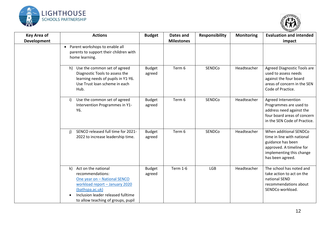



| <b>Key Area of</b><br><b>Development</b> | <b>Actions</b>                                                                                                                                                                                                           | <b>Budget</b>           | Dates and<br><b>Milestones</b> | <b>Responsibility</b> | <b>Monitoring</b> | <b>Evaluation and intended</b><br>impact                                                                                                              |
|------------------------------------------|--------------------------------------------------------------------------------------------------------------------------------------------------------------------------------------------------------------------------|-------------------------|--------------------------------|-----------------------|-------------------|-------------------------------------------------------------------------------------------------------------------------------------------------------|
|                                          | Parent workshops to enable all<br>$\bullet$<br>parents to support their children with<br>home learning.                                                                                                                  |                         |                                |                       |                   |                                                                                                                                                       |
|                                          | h) Use the common set of agreed<br>Diagnostic Tools to assess the<br>learning needs of pupils in Y1-Y6.<br>Use Trust loan scheme in each<br>Hub.                                                                         | <b>Budget</b><br>agreed | Term 6                         | SENDCo                | Headteacher       | Agreed Diagnostic Tools are<br>used to assess needs<br>against the four board<br>areas of concern in the SEN<br>Code of Practice.                     |
|                                          | Use the common set of agreed<br>i)<br>Intervention Programmes in Y1-<br>Y6.                                                                                                                                              | <b>Budget</b><br>agreed | Term 6                         | SENDCo                | Headteacher       | Agreed Intervention<br>Programmes are used to<br>address need against the<br>four board areas of concern<br>in the SEN Code of Practice.              |
|                                          | SENCO released full time for 2021-<br>$\mathbf{j}$<br>2022 to increase leadership time.                                                                                                                                  | <b>Budget</b><br>agreed | Term 6                         | SENDCo                | Headteacher       | When additional SENDCo<br>time in line with national<br>guidance has been<br>approved. A timeline for<br>implementing this change<br>has been agreed. |
|                                          | Act on the national<br>$\mathsf{k}$<br>recommendations:<br>One year on - National SENCO<br>workload report - January 2020<br>(bathspa.ac.uk)<br>Inclusion leader released fulltime<br>to allow teaching of groups, pupil | <b>Budget</b><br>agreed | <b>Term 1-6</b>                | <b>LGB</b>            | Headteacher       | The school has noted and<br>take action to act on the<br>national SEND<br>recommendations about<br>SENDCo workload.                                   |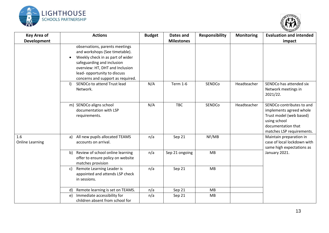



| <b>Key Area of</b><br><b>Development</b> | <b>Actions</b>                                                                                                                                                                                                                                         | <b>Budget</b> | Dates and<br><b>Milestones</b> | <b>Responsibility</b> | <b>Monitoring</b> | <b>Evaluation and intended</b><br>impact                                                                                                           |
|------------------------------------------|--------------------------------------------------------------------------------------------------------------------------------------------------------------------------------------------------------------------------------------------------------|---------------|--------------------------------|-----------------------|-------------------|----------------------------------------------------------------------------------------------------------------------------------------------------|
|                                          | observations, parents meetings<br>and workshops (See timetable).<br>Weekly check in as part of wider<br>$\bullet$<br>safeguarding and inclusion<br>overview: HT, DHT and Inclusion<br>lead-opportunity to discuss<br>concerns and support as required. |               |                                |                       |                   |                                                                                                                                                    |
|                                          | SENDCo to attend Trust lead<br>$\vert$<br>Network.                                                                                                                                                                                                     | N/A           | <b>Term 1-6</b>                | SENDCo                | Headteacher       | SENDCo has attended six<br>Network meetings in<br>2021/22.                                                                                         |
|                                          | m) SENDCo aligns school<br>documentation with LSP<br>requirements.                                                                                                                                                                                     | N/A           | <b>TBC</b>                     | SENDCo                | Headteacher       | SENDCo contributes to and<br>implements agreed whole<br>Trust model (web based)<br>using school<br>documentation that<br>matches LSP requirements. |
| 1.6<br><b>Online Learning</b>            | a) All new pupils allocated TEAMS<br>accounts on arrival.                                                                                                                                                                                              | n/a           | Sep 21                         | NF/MB                 |                   | Maintain preparation in<br>case of local lockdown with<br>same high expectations as                                                                |
|                                          | Review of school online learning<br>b)<br>offer to ensure policy on website<br>matches provision                                                                                                                                                       | n/a           | Sep 21 ongoing                 | MB                    |                   | January 2021.                                                                                                                                      |
|                                          | Remote Learning Leader is<br>c)<br>appointed and attends LSP check<br>in sessions.                                                                                                                                                                     | n/a           | Sep 21                         | MB                    |                   |                                                                                                                                                    |
|                                          | Remote learning is set on TEAMS.<br>d)                                                                                                                                                                                                                 | n/a           | Sep 21                         | MB                    |                   |                                                                                                                                                    |
|                                          | Immediate accessibility for<br>e)<br>children absent from school for                                                                                                                                                                                   | n/a           | Sep 21                         | MB                    |                   |                                                                                                                                                    |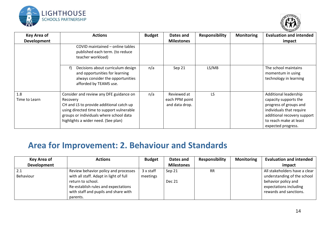



| <b>Key Area of</b><br><b>Development</b> | <b>Actions</b>                                                                                                                                                                                                                 | <b>Budget</b> | Dates and<br><b>Milestones</b>                  | <b>Responsibility</b> | <b>Monitoring</b> | <b>Evaluation and intended</b><br>impact                                                                                                                                            |
|------------------------------------------|--------------------------------------------------------------------------------------------------------------------------------------------------------------------------------------------------------------------------------|---------------|-------------------------------------------------|-----------------------|-------------------|-------------------------------------------------------------------------------------------------------------------------------------------------------------------------------------|
|                                          | COVID maintained - online tables<br>published each term. (to reduce<br>teacher workload)                                                                                                                                       |               |                                                 |                       |                   |                                                                                                                                                                                     |
|                                          | Decisions about curriculum design<br>f)<br>and opportunities for learning<br>always consider the opportunities<br>afforded by TEAMS use.                                                                                       | n/a           | Sep 21                                          | LS/MB                 |                   | The school maintains<br>momentum in using<br>technology in learning                                                                                                                 |
| 1.8<br>Time to Learn                     | Consider and review any DFE guidance on<br>Recovery<br>CH and LS to provide additional catch up<br>using directed time to support vulnerable<br>groups or individuals where school data<br>highlights a wider need. (See plan) | n/a           | Reviewed at<br>each PPM point<br>and data drop. | LS.                   |                   | Additional leadership<br>capacity supports the<br>progress of groups and<br>individuals that require<br>additional recovery support<br>to reach make at least<br>expected progress. |

## **Area for Improvement: 2. Behaviour and Standards**

| Key Area of | <b>Actions</b>                         | <b>Budget</b> | Dates and         | <b>Responsibility</b> | <b>Monitoring</b> | <b>Evaluation and intended</b> |
|-------------|----------------------------------------|---------------|-------------------|-----------------------|-------------------|--------------------------------|
| Development |                                        |               | <b>Milestones</b> |                       |                   | impact                         |
| 2.1         | Review behavior policy and processes   | 3 x staff     | Sep 21            | <b>RR</b>             |                   | All stakeholders have a clear  |
| Behaviour   | with all staff. Adapt in light of full | meetings      |                   |                       |                   | understanding of the school    |
|             | return to school.                      |               | <b>Dec 21</b>     |                       |                   | behavior policy and            |
|             | Re-establish rules and expectations    |               |                   |                       |                   | expectations including         |
|             | with staff and pupils and share with   |               |                   |                       |                   | rewards and sanctions.         |
|             | parents.                               |               |                   |                       |                   |                                |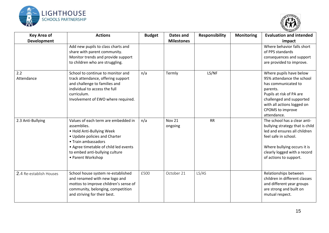



| <b>Key Area of</b><br><b>Development</b> | <b>Actions</b>                                                                                                                                                                                                                          | <b>Budget</b> | <b>Dates and</b><br><b>Milestones</b> | <b>Responsibility</b> | <b>Monitoring</b> | <b>Evaluation and intended</b><br>impact                                                                                                                                                                         |
|------------------------------------------|-----------------------------------------------------------------------------------------------------------------------------------------------------------------------------------------------------------------------------------------|---------------|---------------------------------------|-----------------------|-------------------|------------------------------------------------------------------------------------------------------------------------------------------------------------------------------------------------------------------|
|                                          | Add new pupils to class charts and<br>share with parent community.<br>Monitor trends and provide support<br>to children who are struggling.                                                                                             |               |                                       |                       |                   | Where behavior falls short<br>of PPS standards<br>consequences and support<br>are provided to improve.                                                                                                           |
| 2.2<br>Attendance                        | School to continue to monitor and<br>track attendance, offering support<br>and challenge to families and<br>individual to access the full<br>curriculum.<br>Involvement of EWO where required.                                          | n/a           | Termly                                | LS/NF                 |                   | Where pupils have below<br>95% attendance the school<br>has communicated to<br>parents.<br>Pupils at risk of PA are<br>challenged and supported<br>with all actions logged on<br>CPOMS to improve<br>attendance. |
| 2.3 Anti-Bullying                        | Values of each term are embedded in<br>assemblies.<br>• Hold Anti-Bullying Week<br>• Update policies and Charter<br>• Train ambassadors<br>• Agree timetable of child led events<br>to embed anti-bullying culture<br>• Parent Workshop | n/a           | <b>Nov 21</b><br>ongoing              | <b>RR</b>             |                   | The school has a clear anti-<br>bullying strategy that is child<br>led and ensures all children<br>feel safe in school.<br>Where bullying occurs it is<br>clearly logged with a record<br>of actions to support. |
| 2.4 Re-establish Houses                  | School house system re-established<br>and renamed with new logo and<br>mottos to improve children's sense of<br>community, belonging, competition<br>and striving for their best.                                                       | £500          | October 21                            | LS/AS                 |                   | Relationships between<br>children in different classes<br>and different year groups<br>are strong and built on<br>mutual respect.                                                                                |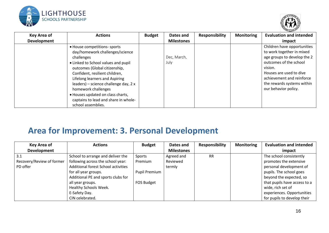



| <b>Key Area of</b> | <b>Actions</b>                                                 | <b>Budget</b> | Dates and         | <b>Responsibility</b> | <b>Monitoring</b> | <b>Evaluation and intended</b>                           |
|--------------------|----------------------------------------------------------------|---------------|-------------------|-----------------------|-------------------|----------------------------------------------------------|
| Development        |                                                                |               | <b>Milestones</b> |                       |                   | impact                                                   |
|                    | • House competitions-sports<br>day/homework challenges/science |               |                   |                       |                   | Children have opportunities<br>to work together in mixed |
|                    | challenges                                                     |               | Dec, March,       |                       |                   | age groups to develop the 2                              |
|                    | • Linked to School values and pupil                            |               | July              |                       |                   | outcomes of the school                                   |
|                    | outcomes (Global citizenship,                                  |               |                   |                       |                   | vision.                                                  |
|                    | Confident, resilient children,                                 |               |                   |                       |                   | Houses are used to dive                                  |
|                    | Lifelong learners and Aspiring                                 |               |                   |                       |                   | achievement and reinforce                                |
|                    | leaders) – science challenge day, 2 x                          |               |                   |                       |                   | the rewards systems within                               |
|                    | homework challenges                                            |               |                   |                       |                   | our behavior policy.                                     |
|                    | • Houses updated on class charts,                              |               |                   |                       |                   |                                                          |
|                    | captains to lead and share in whole-                           |               |                   |                       |                   |                                                          |
|                    | school assemblies.                                             |               |                   |                       |                   |                                                          |

### **Area for Improvement: 3. Personal Development**

| Key Area of               | <b>Actions</b>                      | <b>Budget</b>        | Dates and         | <b>Responsibility</b> | <b>Monitoring</b> | <b>Evaluation and intended</b> |
|---------------------------|-------------------------------------|----------------------|-------------------|-----------------------|-------------------|--------------------------------|
| <b>Development</b>        |                                     |                      | <b>Milestones</b> |                       |                   | impact                         |
| 3.1                       | School to arrange and deliver the   | Sports               | Agreed and        | <b>RR</b>             |                   | The school consistently        |
| Recovery/Review of former | following across the school year:   | Premium              | Reviewed          |                       |                   | promotes the extensive         |
| PD offer                  | Additional forest School activities |                      | termly            |                       |                   | personal development of        |
|                           | for all year groups.                | <b>Pupil Premium</b> |                   |                       |                   | pupils. The school goes        |
|                           | Additional PE and sports clubs for  |                      |                   |                       |                   | beyond the expected, so        |
|                           | all year groups.                    | FOS Budget           |                   |                       |                   | that pupils have access to a   |
|                           | Healthy Schools Week.               |                      |                   |                       |                   | wide, rich set of              |
|                           | E-Safety Day.                       |                      |                   |                       |                   | experiences. Opportunities     |
|                           | CIN celebrated.                     |                      |                   |                       |                   | for pupils to develop their    |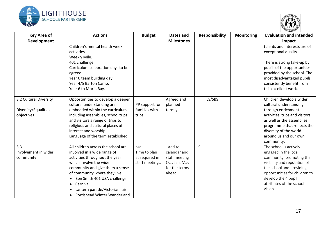



| <b>Key Area of</b>     | <b>Actions</b>                                            | <b>Budget</b>                     | Dates and                      | <b>Responsibility</b> | <b>Monitoring</b> | <b>Evaluation and intended</b>                           |
|------------------------|-----------------------------------------------------------|-----------------------------------|--------------------------------|-----------------------|-------------------|----------------------------------------------------------|
| <b>Development</b>     |                                                           |                                   | <b>Milestones</b>              |                       |                   | impact                                                   |
|                        | Children's mental health week                             |                                   |                                |                       |                   | talents and interests are of                             |
|                        | activities.                                               |                                   |                                |                       |                   | exceptional quality.                                     |
|                        | Weekly Mile.                                              |                                   |                                |                       |                   |                                                          |
|                        | 401 challenge                                             |                                   |                                |                       |                   | There is strong take-up by                               |
|                        | Curriculum celebration days to be                         |                                   |                                |                       |                   | pupils of the opportunities                              |
|                        | agreed.                                                   |                                   |                                |                       |                   | provided by the school. The                              |
|                        | Year 6 team building day.                                 |                                   |                                |                       |                   | most disadvantaged pupils                                |
|                        | Year 4/5 Barton Camp.                                     |                                   |                                |                       |                   | consistently benefit from                                |
|                        | Year 6 to Morfa Bay.                                      |                                   |                                |                       |                   | this excellent work.                                     |
|                        |                                                           |                                   |                                |                       |                   |                                                          |
| 3.2 Cultural Diversity | Opportunities to develop a deeper                         |                                   | Agreed and                     | LS/SBS                |                   | Children develop a wider                                 |
|                        | cultural understanding are                                | PP support for                    | planned                        |                       |                   | cultural understanding                                   |
| Diversity/Equalities   | embedded within the curriculum                            | families with                     | termly                         |                       |                   | through enrichment                                       |
| objectives             | including assemblies, school trips                        | trips                             |                                |                       |                   | activities, trips and visitors                           |
|                        | and visitors a range of trips to                          |                                   |                                |                       |                   | as well as the assemblies                                |
|                        | religious and cultural places of                          |                                   |                                |                       |                   | programme that reflects the                              |
|                        | interest and worship.                                     |                                   |                                |                       |                   | diversity of the world                                   |
|                        | Language of the term established.                         |                                   |                                |                       |                   | around us and our own                                    |
| 3.3                    | All children across the school are                        | n/a                               | Add to                         | LS                    |                   | community.                                               |
| Involvement in wider   |                                                           |                                   |                                |                       |                   | The school is actively                                   |
|                        | involved in a wide range of                               | Time to plan                      | calendar and                   |                       |                   | engaged in the local                                     |
| community              | activities throughout the year<br>which involve the wider | as required in<br>staff meetings. | staff meeting<br>Oct, Jan, May |                       |                   | community, promoting the<br>visibility and reputation of |
|                        | community and give them a sense                           |                                   | for the terms                  |                       |                   | the school and providing                                 |
|                        | of community where they live                              |                                   | ahead.                         |                       |                   | opportunities for children to                            |
|                        | Ben Smith 401 USA challenge<br>$\bullet$                  |                                   |                                |                       |                   | develop the 4 pupil                                      |
|                        | • Carnival                                                |                                   |                                |                       |                   | attributes of the school                                 |
|                        | • Lantern parade/Victorian fair                           |                                   |                                |                       |                   | vision.                                                  |
|                        | • Portishead Winter Wanderland                            |                                   |                                |                       |                   |                                                          |
|                        |                                                           |                                   |                                |                       |                   |                                                          |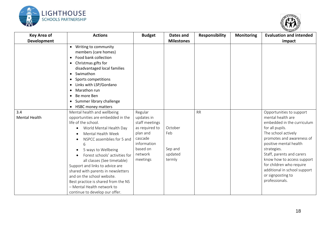



| <b>Key Area of</b>          | <b>Actions</b>                                                                                                                                                                                                                                                                                                                                                                                                                                                                                      | <b>Budget</b>                                                                                                                      | Dates and                                      | Responsibility | <b>Monitoring</b> | <b>Evaluation and intended</b>                                                                                                                                                                                                                                                                                                                            |
|-----------------------------|-----------------------------------------------------------------------------------------------------------------------------------------------------------------------------------------------------------------------------------------------------------------------------------------------------------------------------------------------------------------------------------------------------------------------------------------------------------------------------------------------------|------------------------------------------------------------------------------------------------------------------------------------|------------------------------------------------|----------------|-------------------|-----------------------------------------------------------------------------------------------------------------------------------------------------------------------------------------------------------------------------------------------------------------------------------------------------------------------------------------------------------|
| <b>Development</b>          |                                                                                                                                                                                                                                                                                                                                                                                                                                                                                                     |                                                                                                                                    | <b>Milestones</b>                              |                |                   | impact                                                                                                                                                                                                                                                                                                                                                    |
|                             | • Writing to community<br>members (care homes)<br>Food bank collection<br>$\bullet$<br>• Christmas gifts for<br>disadvantaged local families<br>• Swimathon<br>• Sports competitions<br>• Links with LSP/Gordano<br>Marathon run<br>Be more Ben<br>$\bullet$<br>Summer library challenge<br>$\bullet$<br>• HSBC money matters                                                                                                                                                                       |                                                                                                                                    |                                                |                |                   |                                                                                                                                                                                                                                                                                                                                                           |
| 3.4<br><b>Mental Health</b> | Mental health and wellbeing<br>opportunities are embedded in the<br>life of the school.<br>World Mental Health Day<br>٠<br>Mental Health Week<br>NSPCC assemblies for 5 and<br>6<br>5 ways to Wellbeing<br>$\bullet$<br>Forest schools' activities for<br>all classes (See timetable)<br>Support and links to advice are<br>shared with parents in newsletters<br>and on the school website.<br>Best practice is shared from the NS<br>- Mental Health network to<br>continue to develop our offer. | Regular<br>updates in<br>staff meetings<br>as required to<br>plan and<br>cascade<br>information<br>based on<br>network<br>meetings | October<br>Feb<br>Sep and<br>updated<br>termly | <b>RR</b>      |                   | Opportunities to support<br>mental health are<br>embedded in the curriculum<br>for all pupils.<br>The school actively<br>promotes and awareness of<br>positive mental health<br>strategies.<br>Staff, parents and carers<br>know how to access support<br>for children who require<br>additional in school support<br>or signposting to<br>professionals. |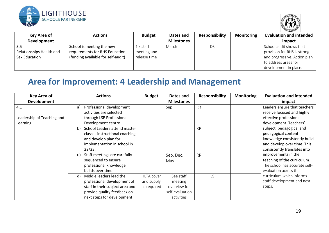



| Key Area of                                       | <b>Actions</b>                                                                                    | <b>Budget</b>                              | Dates and         | <b>Responsibility</b> | <b>Monitoring</b> | <b>Evaluation and intended</b>                                                                                                          |
|---------------------------------------------------|---------------------------------------------------------------------------------------------------|--------------------------------------------|-------------------|-----------------------|-------------------|-----------------------------------------------------------------------------------------------------------------------------------------|
| Development                                       |                                                                                                   |                                            | <b>Milestones</b> |                       |                   | impact                                                                                                                                  |
| -3.5<br>Relationships Health and<br>Sex Education | School is meeting the new<br>requirements for RHS Education<br>(funding available for self-audit) | $1$ x staff<br>meeting and<br>release time | March             | DS                    |                   | School audit shows that<br>provision for RHS is strong<br>and progressive. Action plan<br>to address areas for<br>development in place. |

### **Area for Improvement: 4 Leadership and Management**

| <b>Key Area of</b>         |    | <b>Actions</b>                  | <b>Budget</b>     | Dates and         | <b>Responsibility</b> | <b>Monitoring</b> | <b>Evaluation and intended</b> |
|----------------------------|----|---------------------------------|-------------------|-------------------|-----------------------|-------------------|--------------------------------|
| Development                |    |                                 |                   | <b>Milestones</b> |                       |                   | impact                         |
| 4.1                        | a) | Professional development        |                   | Sep               | <b>RR</b>             |                   | Leaders ensure that teachers   |
|                            |    | activities are selected         |                   |                   |                       |                   | receive focused and highly     |
| Leadership of Teaching and |    | through LSP Professional        |                   |                   |                       |                   | effective professional         |
| Learning                   |    | Development centre              |                   |                   |                       |                   | development. Teachers'         |
|                            | b) | School Leaders attend master    |                   |                   | <b>RR</b>             |                   | subject, pedagogical and       |
|                            |    | classes instructional coaching  |                   |                   |                       |                   | pedagogical content            |
|                            |    | and develop plan for            |                   |                   |                       |                   | knowledge consistently build   |
|                            |    | implementation in school in     |                   |                   |                       |                   | and develop over time. This    |
|                            |    | 22/23.                          |                   |                   |                       |                   | consistently translates into   |
|                            | C) | Staff meetings are carefully    |                   | Sep, Dec,         | <b>RR</b>             |                   | improvements in the            |
|                            |    | sequenced to ensure             |                   | May               |                       |                   | teaching of the curriculum.    |
|                            |    | professional knowledge          |                   |                   |                       |                   | The school has accurate self-  |
|                            |    | builds over time.               |                   |                   |                       |                   | evaluation across the          |
|                            | d) | Middle leaders lead the         | <b>HLTA</b> cover | See staff         | <b>LS</b>             |                   | curriculum which informs       |
|                            |    | professional development of     | and supply        | meeting           |                       |                   | staff development and next     |
|                            |    | staff in their subject area and | as required       | overview for      |                       |                   | steps.                         |
|                            |    | provide quality feedback on     |                   | self-evaluation   |                       |                   |                                |
|                            |    | next steps for development      |                   | activities        |                       |                   |                                |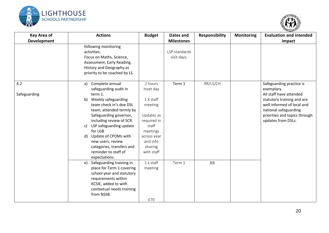



| <b>Key Area of</b> | <b>Actions</b>                 | <b>Budget</b>    | Dates and<br><b>Milestones</b> | <b>Responsibility</b> | <b>Monitoring</b> | <b>Evaluation and intended</b> |
|--------------------|--------------------------------|------------------|--------------------------------|-----------------------|-------------------|--------------------------------|
| <b>Development</b> | following monitoring           |                  |                                |                       |                   | impact                         |
|                    | activities.                    |                  | LSP standards                  |                       |                   |                                |
|                    | Focus on Maths, Science,       |                  | visit days.                    |                       |                   |                                |
|                    | Assessment, Early Reading,     |                  |                                |                       |                   |                                |
|                    | History and Geography as       |                  |                                |                       |                   |                                |
|                    | priority to be coached by LS.  |                  |                                |                       |                   |                                |
| 4.2                | Complete annual<br>a)          | 2 hours          | Term 1                         | RR/LS/CH              |                   | Safeguarding practice is       |
|                    | safeguarding audit in          | Inset day        |                                |                       |                   | exemplary.                     |
| Safeguarding       | term 1.                        |                  |                                |                       |                   | All staff have attended        |
|                    | b)<br>Weekly safeguarding      | 1 X staff        |                                |                       |                   | statutory training and are     |
|                    | team check in's doe DSL        | meeting          |                                |                       |                   | well informed of local and     |
|                    | team, attended termly by       |                  |                                |                       |                   | national safeguarding          |
|                    | Safeguarding governor,         | Updates as       |                                |                       |                   | priorities and topics through  |
|                    | including review of SCR.       | required in      |                                |                       |                   | updates from DSLs.             |
|                    | LSP safeguarding update<br>C)  | staff            |                                |                       |                   |                                |
|                    | for LGB                        | meetings         |                                |                       |                   |                                |
|                    | Update of CPOMs with<br>d)     | across year      |                                |                       |                   |                                |
|                    | new users, review              | and info         |                                |                       |                   |                                |
|                    | categories, transfers and      | sharing          |                                |                       |                   |                                |
|                    | reminder to staff of           | with staff       |                                |                       |                   |                                |
|                    | expectations.                  |                  |                                |                       |                   |                                |
|                    | Safeguarding training in<br>e) | $1 \times$ staff | Term 1                         | <b>RR</b>             |                   |                                |
|                    | place for Term 1 covering      | meeting          |                                |                       |                   |                                |
|                    | school year and statutory      |                  |                                |                       |                   |                                |
|                    | requirements within            |                  |                                |                       |                   |                                |
|                    | KCSIE, added to with           |                  |                                |                       |                   |                                |
|                    | contextual needs training      |                  |                                |                       |                   |                                |
|                    | from NSSB.                     |                  |                                |                       |                   |                                |
|                    |                                | £70              |                                |                       |                   |                                |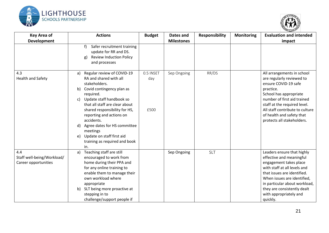



| <b>Key Area of</b><br><b>Development</b>                  | <b>Actions</b>                                                                                                                                                                                                                                                                                                                                                                                          | <b>Budget</b>            | <b>Dates and</b><br><b>Milestones</b> | <b>Responsibility</b> | <b>Monitoring</b> | <b>Evaluation and intended</b><br>impact                                                                                                                                                                                                                                             |
|-----------------------------------------------------------|---------------------------------------------------------------------------------------------------------------------------------------------------------------------------------------------------------------------------------------------------------------------------------------------------------------------------------------------------------------------------------------------------------|--------------------------|---------------------------------------|-----------------------|-------------------|--------------------------------------------------------------------------------------------------------------------------------------------------------------------------------------------------------------------------------------------------------------------------------------|
|                                                           | f)<br>Safer recruitment training<br>update for RR and DS.<br><b>Review Induction Policy</b><br>g)<br>and processes                                                                                                                                                                                                                                                                                      |                          |                                       |                       |                   |                                                                                                                                                                                                                                                                                      |
| 4.3<br><b>Health and Safety</b>                           | Regular review of COVID-19<br>a)<br>RA and shared with all<br>stakeholders.<br>Covid contingency plan as<br>b)<br>required.<br>Update staff handbook so<br>c)<br>that all staff are clear about<br>shared responsibility for HS,<br>reporting and actions on<br>accidents.<br>Agree dates for HS committee<br>d)<br>meetings<br>Update on staff first aid<br>e)<br>training as required and book<br>in. | 0.5 INSET<br>day<br>£500 | Sep Ongoing                           | RR/DS                 |                   | All arrangements in school<br>are regularly reviewed to<br>ensure COVID-19 safe<br>practice.<br>School has appropriate<br>number of first aid trained<br>staff at the required level.<br>All staff contribute to culture<br>of health and safety that<br>protects all stakeholders.  |
| 4.4<br>Staff well-being/Workload/<br>Career opportunities | Teaching staff are still<br>a)<br>encouraged to work from<br>home during their PPA and<br>for any online training to<br>enable them to manage their<br>own workload where<br>appropriate<br>b) SLT being more proactive at<br>stepping in to<br>challenge/support people if                                                                                                                             |                          | Sep Ongoing                           | <b>SLT</b>            |                   | Leaders ensure that highly<br>effective and meaningful<br>engagement takes place<br>with staff at all levels and<br>that issues are identified.<br>When issues are identified,<br>in particular about workload,<br>they are consistently dealt<br>with appropriately and<br>quickly. |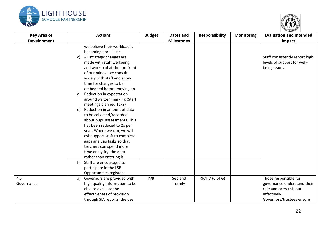



| <b>Key Area of</b> | <b>Actions</b>                                                                                                                                                                                                                                                                                                | <b>Budget</b> | Dates and         | <b>Responsibility</b> | <b>Monitoring</b> | <b>Evaluation and intended</b>                                                                                               |
|--------------------|---------------------------------------------------------------------------------------------------------------------------------------------------------------------------------------------------------------------------------------------------------------------------------------------------------------|---------------|-------------------|-----------------------|-------------------|------------------------------------------------------------------------------------------------------------------------------|
| <b>Development</b> |                                                                                                                                                                                                                                                                                                               |               | <b>Milestones</b> |                       |                   | impact                                                                                                                       |
|                    | we believe their workload is<br>becoming unrealistic.<br>All strategic changes are<br>C)<br>made with staff wellbeing<br>and workload at the forefront<br>of our minds- we consult<br>widely with staff and allow<br>time for changes to be                                                                   |               |                   |                       |                   | Staff consistently report high<br>levels of support for well-<br>being issues.                                               |
|                    | embedded before moving on.<br>Reduction in expectation<br>d)<br>around written marking (Staff<br>meetings planned T1/2)                                                                                                                                                                                       |               |                   |                       |                   |                                                                                                                              |
|                    | Reduction in amount of data<br>e)<br>to be collected/recorded<br>about pupil assessments. This<br>has been reduced to 2x per<br>year. Where we can, we will<br>ask support staff to complete<br>gaps analysis tasks so that<br>teachers can spend more<br>time analysing the data<br>rather than entering it. |               |                   |                       |                   |                                                                                                                              |
|                    | Staff are encouraged to<br>participate in the LSP<br>Opportunities register.                                                                                                                                                                                                                                  |               |                   |                       |                   |                                                                                                                              |
| 4.5<br>Governance  | Governors are provided with<br>a)<br>high quality information to be<br>able to evaluate the<br>effectiveness of provision<br>through SIA reports, the use                                                                                                                                                     | n/a           | Sep and<br>Termly | RR/HD (C of G)        |                   | Those responsible for<br>governance understand their<br>role and carry this out<br>effectively.<br>Governors/trustees ensure |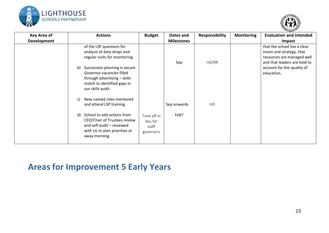



| <b>Key Area of</b><br>Development | <b>Actions</b>                                                                                                                                  | <b>Budget</b>                                 | Dates and<br><b>Milestones</b> | <b>Responsibility</b> | <b>Monitoring</b> | <b>Evaluation and intended</b><br>impact                                                                                                             |
|-----------------------------------|-------------------------------------------------------------------------------------------------------------------------------------------------|-----------------------------------------------|--------------------------------|-----------------------|-------------------|------------------------------------------------------------------------------------------------------------------------------------------------------|
|                                   | of the LSP questions for<br>analysis of data drops and<br>regular visits for monitoring.<br>Succession planning is secure.<br>b)                |                                               | Sep                            | HD/RR                 |                   | that the school has a clear<br>vision and strategy, that<br>resources are managed well<br>and that leaders are held to<br>account for the quality of |
|                                   | Governor vacancies filled<br>through advertising - skills<br>match to identified gaps in<br>our skills audit.                                   |                                               |                                |                       |                   | education.                                                                                                                                           |
|                                   | New named roles mentored<br>C)<br>and attend LSP training.                                                                                      |                                               | Sep onwards                    | <b>HD</b>             |                   |                                                                                                                                                      |
|                                   | School to add actions from<br>d)<br>CEO/Chair of Trustees review<br>and self-audit - reviewed<br>with LG to plan priorities at<br>away morning. | Time off in<br>lieu for<br>staff<br>governors | Feb?                           |                       |                   |                                                                                                                                                      |

### **Areas for Improvement 5 Early Years**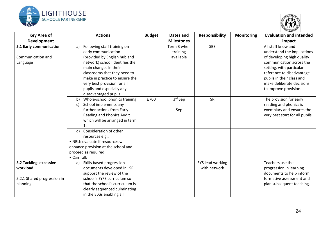



| <b>Key Area of</b>                                                            | <b>Actions</b>                                                                                                                                                                                                                                                                    | <b>Budget</b> | Dates and                            | <b>Responsibility</b>                   | <b>Monitoring</b> | <b>Evaluation and intended</b>                                                                                                                                                                                                                          |
|-------------------------------------------------------------------------------|-----------------------------------------------------------------------------------------------------------------------------------------------------------------------------------------------------------------------------------------------------------------------------------|---------------|--------------------------------------|-----------------------------------------|-------------------|---------------------------------------------------------------------------------------------------------------------------------------------------------------------------------------------------------------------------------------------------------|
| Development                                                                   |                                                                                                                                                                                                                                                                                   |               | <b>Milestones</b>                    |                                         |                   | impact                                                                                                                                                                                                                                                  |
| 5.1 Early communication<br>Communication and<br>Language                      | Following staff training on<br>a)<br>early communication<br>(provided by English hub and<br>network) school identifies the<br>main changes in their<br>classrooms that they need to<br>make in practice to ensure the<br>very best provision for all<br>pupils and especially any |               | Term 3 when<br>training<br>available | <b>SBS</b>                              |                   | All staff know and<br>understand the implications<br>of developing high quality<br>communication across the<br>setting, with particular<br>reference to disadvantage<br>pupils in their class and<br>make deliberate decisions<br>to improve provision. |
|                                                                               | disadvantaged pupils.<br>Whole-school phonics training<br>b)<br>School implements any<br>C)<br>further actions from Early<br>Reading and Phonics Audit<br>which will be arranged in term<br>1.                                                                                    | £700          | 3rd Sep<br>Sep                       | <b>SR</b>                               |                   | The provision for early<br>reading and phonics is<br>exemplary and ensures the<br>very best start for all pupils.                                                                                                                                       |
|                                                                               | Consideration of other<br>d)<br>resources e.g.:<br>• NELI: evaluate if resources will<br>enhance provision at the school and<br>proceed as required.<br>• Can Talk                                                                                                                |               |                                      |                                         |                   |                                                                                                                                                                                                                                                         |
| 5.2 Tackling excessive<br>workload<br>5.2.1 Shared progression in<br>planning | Skills based progression<br>a)<br>documents developed in LSP<br>support the review of the<br>school's EYFS curriculum so<br>that the school's curriculum is<br>clearly sequenced culminating<br>in the ELGs enabling all                                                          |               |                                      | <b>EYS lead working</b><br>with network |                   | Teachers use the<br>progression in learning<br>documents to help inform<br>formative assessment and<br>plan subsequent teaching.                                                                                                                        |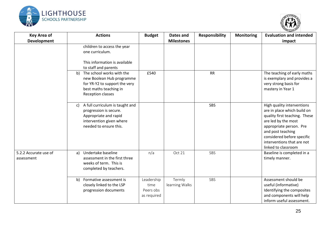



| <b>Key Area of</b><br><b>Development</b> | <b>Actions</b>                                                                                                                                 | <b>Budget</b>                                  | Dates and<br><b>Milestones</b> | <b>Responsibility</b> | <b>Monitoring</b> | <b>Evaluation and intended</b><br>impact                                                                                                                                                                                                             |
|------------------------------------------|------------------------------------------------------------------------------------------------------------------------------------------------|------------------------------------------------|--------------------------------|-----------------------|-------------------|------------------------------------------------------------------------------------------------------------------------------------------------------------------------------------------------------------------------------------------------------|
|                                          | children to access the year<br>one curriculum.<br>This information is available<br>to staff and parents                                        |                                                |                                |                       |                   |                                                                                                                                                                                                                                                      |
|                                          | The school works with the<br>b)<br>new Boolean Hub programme<br>for YR-Y2 to support the very<br>best maths teaching in<br>Reception classes   | £540                                           |                                | <b>RR</b>             |                   | The teaching of early maths<br>is exemplary and provides a<br>very strong basis for<br>mastery in Year 1                                                                                                                                             |
|                                          | A full curriculum is taught and<br>C)<br>progression is secure.<br>Appropriate and rapid<br>intervention given where<br>needed to ensure this. |                                                |                                | <b>SBS</b>            |                   | High quality interventions<br>are in place which build on<br>quality first teaching. These<br>are led by the most<br>appropriate person. Pre<br>and post teaching<br>considered before specific<br>interventions that are not<br>linked to classroom |
| 5.2.2 Accurate use of<br>assessment      | Undertake baseline<br>a)<br>assessment in the first three<br>weeks of term. This is<br>completed by teachers.                                  | n/a                                            | Oct 21                         | SBS                   |                   | Baseline is completed in a<br>timely manner.                                                                                                                                                                                                         |
|                                          | Formative assessment is<br>b)<br>closely linked to the LSP<br>progression documents                                                            | Leadership<br>time<br>Peers obs<br>as required | Termly<br>learning Walks       | SBS                   |                   | Assessment should be<br>useful (informative)<br>Identifying the composites<br>and components will help<br>inform useful assessment.                                                                                                                  |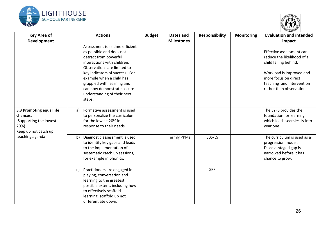



| <b>Key Area of</b>                                                                             | <b>Actions</b>                                                                                                                                                                                                                                                                                                        | <b>Budget</b> | Dates and         | <b>Responsibility</b> | <b>Monitoring</b> | <b>Evaluation and intended</b>                                                                                                                                                              |
|------------------------------------------------------------------------------------------------|-----------------------------------------------------------------------------------------------------------------------------------------------------------------------------------------------------------------------------------------------------------------------------------------------------------------------|---------------|-------------------|-----------------------|-------------------|---------------------------------------------------------------------------------------------------------------------------------------------------------------------------------------------|
| <b>Development</b>                                                                             |                                                                                                                                                                                                                                                                                                                       |               | <b>Milestones</b> |                       |                   | impact                                                                                                                                                                                      |
|                                                                                                | Assessment is as time efficient<br>as possible and does not<br>detract from powerful<br>interactions with children.<br>Observations are limited to<br>key indicators of success. For<br>example when a child has<br>grappled with learning and<br>can now demonstrate secure<br>understanding of their next<br>steps. |               |                   |                       |                   | Effective assessment can<br>reduce the likelihood of a<br>child falling behind.<br>Workload is improved and<br>more focus on direct<br>teaching and intervention<br>rather than observation |
| 5.3 Promoting equal life<br>chances.<br>(Supporting the lowest<br>20%)<br>Keep up not catch up | Formative assessment is used<br>a)<br>to personalize the curriculum<br>for the lowest 20% in<br>response to their needs.                                                                                                                                                                                              |               |                   |                       |                   | The EYFS provides the<br>foundation for learning<br>which leads seamlessly into<br>year one.                                                                                                |
| teaching agenda                                                                                | Diagnostic assessment is used<br>b)<br>to identify key gaps and leads<br>to the implementation of<br>systematic catch up sessions,<br>for example in phonics.                                                                                                                                                         |               | Termly PPMs       | SBS/LS                |                   | The curriculum is used as a<br>progression model.<br>Disadvantaged gap is<br>narrowed before it has<br>chance to grow.                                                                      |
|                                                                                                | Practitioners are engaged in<br>c)<br>playing, conversation and<br>learning to the greatest<br>possible extent, including how<br>to effectively scaffold<br>learning: scaffold up not<br>differentiate down.                                                                                                          |               |                   | SBS                   |                   |                                                                                                                                                                                             |